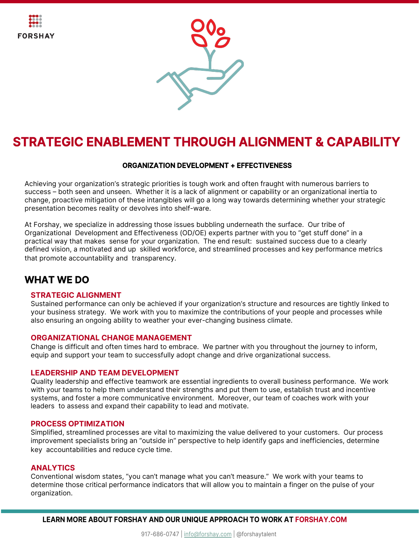



# **STRATEGIC ENABLEMENT THROUGH ALIGNMENT & CAPABILITY**

## **ORGANIZATION DEVELOPMENT + EFFECTIVENESS**

Achieving your organization's strategic priorities is tough work and often fraught with numerous barriers to success – both seen and unseen. Whether it is a lack of alignment or capability or an organizational inertia to change, proactive mitigation of these intangibles will go a long way towards determining whether your strategic presentation becomes reality or devolves into shelf-ware.

At Forshay, we specialize in addressing those issues bubbling underneath the surface. Our tribe of Organizational Development and Effectiveness (OD/OE) experts partner with you to "get stuff done" in a practical way that makes sense for your organization. The end result: sustained success due to a clearly defined vision, a motivated and up skilled workforce, and streamlined processes and key performance metrics that promote accountability and transparency.

# **WHAT WE DO**

### **STRATEGIC ALIGNMENT**

Sustained performance can only be achieved if your organization's structure and resources are tightly linked to your business strategy. We work with you to maximize the contributions of your people and processes while also ensuring an ongoing ability to weather your ever-changing business climate.

### **ORGANIZATIONAL CHANGE MANAGEMENT**

Change is difficult and often times hard to embrace. We partner with you throughout the journey to inform, equip and support your team to successfully adopt change and drive organizational success.

### **LEADERSHIP AND TEAM DEVELOPMENT**

Quality leadership and effective teamwork are essential ingredients to overall business performance. We work with your teams to help them understand their strengths and put them to use, establish trust and incentive systems, and foster a more communicative environment. Moreover, our team of coaches work with your leaders to assess and expand their capability to lead and motivate.

### **PROCESS OPTIMIZATION**

Simplified, streamlined processes are vital to maximizing the value delivered to your customers. Our process improvement specialists bring an "outside in" perspective to help identify gaps and inefficiencies, determine key accountabilities and reduce cycle time.

#### **ANALYTICS**

Conventional wisdom states, "you can't manage what you can't measure." We work with your teams to determine those critical performance indicators that will allow you to maintain a finger on the pulse of your organization.